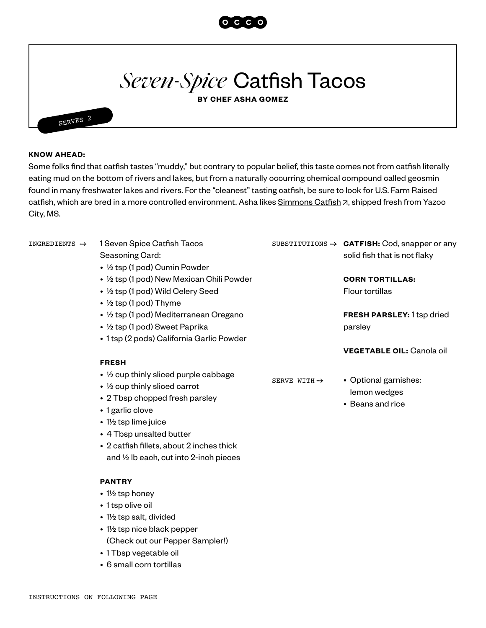

## *Seven-Spice* Catfish Tacos

**BY CHEF ASHA GOMEZ**

## **KNOW AHEAD:**

SERVES 2

Some folks find that catfish tastes "muddy," but contrary to popular belief, this taste comes not from catfish literally eating mud on the bottom of rivers and lakes, but from a naturally occurring chemical compound called geosmin found in many freshwater lakes and rivers. For the "cleanest" tasting catfish, be sure to look for U.S. Farm Raised catfish, which are bred in a more controlled environment. Asha likes [Simmons Catfish](https://www.simmonscatfish.com/) 7[,](https://www.simmonscatfish.com/) shipped fresh from Yazoo City, MS.

| INGREDIENTS $\rightarrow$ | 1 Seven Spice Catfish Tacos                                                                                           |                          | SUBSTITUTIONS $\rightarrow$ CATFISH: Cod, snapper or any |
|---------------------------|-----------------------------------------------------------------------------------------------------------------------|--------------------------|----------------------------------------------------------|
|                           | Seasoning Card:                                                                                                       |                          | solid fish that is not flaky                             |
|                           | • 1/2 tsp (1 pod) Cumin Powder                                                                                        |                          |                                                          |
|                           | • 1/2 tsp (1 pod) New Mexican Chili Powder                                                                            |                          | <b>CORN TORTILLAS:</b>                                   |
|                           | • 1/2 tsp (1 pod) Wild Celery Seed                                                                                    |                          | <b>Flour tortillas</b>                                   |
|                           | • $\frac{1}{2}$ tsp (1 pod) Thyme                                                                                     |                          |                                                          |
|                           | • 1/2 tsp (1 pod) Mediterranean Oregano<br>• ½ tsp (1 pod) Sweet Paprika<br>· 1 tsp (2 pods) California Garlic Powder |                          | <b>FRESH PARSLEY: 1 tsp dried</b>                        |
|                           |                                                                                                                       |                          | parsley                                                  |
|                           |                                                                                                                       |                          |                                                          |
|                           | <b>FRESH</b>                                                                                                          |                          |                                                          |
|                           | • 1/2 cup thinly sliced purple cabbage<br>$\cdot$ 1/2 cup thinly sliced carrot<br>• 2 Tbsp chopped fresh parsley      | SERVE WITH $\rightarrow$ | • Optional garnishes:                                    |
|                           |                                                                                                                       |                          | lemon wedges                                             |
|                           |                                                                                                                       |                          | • Beans and rice                                         |
|                           | • 1 garlic clove                                                                                                      |                          |                                                          |
|                           | • 1½ tsp lime juice                                                                                                   |                          |                                                          |
|                           | • 4 Tbsp unsalted butter                                                                                              |                          |                                                          |
|                           | • 2 catfish fillets, about 2 inches thick                                                                             |                          |                                                          |
|                           | and $\frac{1}{2}$ lb each, cut into 2-inch pieces                                                                     |                          |                                                          |
|                           |                                                                                                                       | <b>PANTRY</b>            |                                                          |
|                           |                                                                                                                       |                          |                                                          |

- 1½ tsp honey
- 1 tsp olive oil
- 1½ tsp salt, divided
- 1½ tsp nice black pepper (Check out our Pepper Sampler!)
- 1 Tbsp vegetable oil
- 6 small corn tortillas